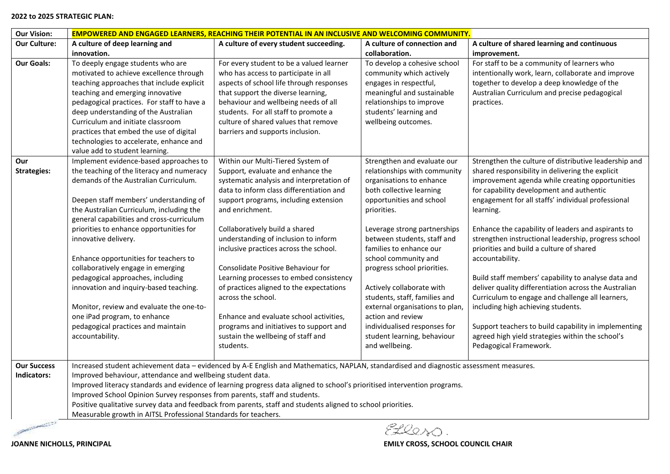#### **2022 to 2025 STRATEGIC PLAN:**

| <b>Our Vision:</b>                | <b>EMPOWERED AND ENGAGED LEARNERS, REACHING THEIR POTENTIAL IN AN INCLUSIVE AND WELCOMING COMMUNITY.</b>                                                                                                                                                                                                                                                                                                                                                                                                                                                                                                                              |                                                                                                                                                                                                                                                                                                                                                                                                                                                                                                                                                                                                                                             |                                                                                                                                                                                                                                                                                                                                                                                                                                                                                                                        |                                                                                                                                                                                                                                                                                                                                                                                                                                                                                                                                                                                                                                                                                                                                                                                                          |  |
|-----------------------------------|---------------------------------------------------------------------------------------------------------------------------------------------------------------------------------------------------------------------------------------------------------------------------------------------------------------------------------------------------------------------------------------------------------------------------------------------------------------------------------------------------------------------------------------------------------------------------------------------------------------------------------------|---------------------------------------------------------------------------------------------------------------------------------------------------------------------------------------------------------------------------------------------------------------------------------------------------------------------------------------------------------------------------------------------------------------------------------------------------------------------------------------------------------------------------------------------------------------------------------------------------------------------------------------------|------------------------------------------------------------------------------------------------------------------------------------------------------------------------------------------------------------------------------------------------------------------------------------------------------------------------------------------------------------------------------------------------------------------------------------------------------------------------------------------------------------------------|----------------------------------------------------------------------------------------------------------------------------------------------------------------------------------------------------------------------------------------------------------------------------------------------------------------------------------------------------------------------------------------------------------------------------------------------------------------------------------------------------------------------------------------------------------------------------------------------------------------------------------------------------------------------------------------------------------------------------------------------------------------------------------------------------------|--|
| <b>Our Culture:</b>               | A culture of deep learning and                                                                                                                                                                                                                                                                                                                                                                                                                                                                                                                                                                                                        | A culture of every student succeeding.                                                                                                                                                                                                                                                                                                                                                                                                                                                                                                                                                                                                      | A culture of connection and                                                                                                                                                                                                                                                                                                                                                                                                                                                                                            | A culture of shared learning and continuous                                                                                                                                                                                                                                                                                                                                                                                                                                                                                                                                                                                                                                                                                                                                                              |  |
|                                   | innovation.                                                                                                                                                                                                                                                                                                                                                                                                                                                                                                                                                                                                                           |                                                                                                                                                                                                                                                                                                                                                                                                                                                                                                                                                                                                                                             | collaboration.                                                                                                                                                                                                                                                                                                                                                                                                                                                                                                         | improvement.                                                                                                                                                                                                                                                                                                                                                                                                                                                                                                                                                                                                                                                                                                                                                                                             |  |
| <b>Our Goals:</b>                 | To deeply engage students who are<br>motivated to achieve excellence through<br>teaching approaches that include explicit<br>teaching and emerging innovative<br>pedagogical practices. For staff to have a<br>deep understanding of the Australian<br>Curriculum and initiate classroom<br>practices that embed the use of digital<br>technologies to accelerate, enhance and<br>value add to student learning.                                                                                                                                                                                                                      | For every student to be a valued learner<br>who has access to participate in all<br>aspects of school life through responses<br>that support the diverse learning,<br>behaviour and wellbeing needs of all<br>students. For all staff to promote a<br>culture of shared values that remove<br>barriers and supports inclusion.                                                                                                                                                                                                                                                                                                              | To develop a cohesive school<br>community which actively<br>engages in respectful,<br>meaningful and sustainable<br>relationships to improve<br>students' learning and<br>wellbeing outcomes.                                                                                                                                                                                                                                                                                                                          | For staff to be a community of learners who<br>intentionally work, learn, collaborate and improve<br>together to develop a deep knowledge of the<br>Australian Curriculum and precise pedagogical<br>practices.                                                                                                                                                                                                                                                                                                                                                                                                                                                                                                                                                                                          |  |
| Our<br><b>Strategies:</b>         | Implement evidence-based approaches to<br>the teaching of the literacy and numeracy<br>demands of the Australian Curriculum.<br>Deepen staff members' understanding of<br>the Australian Curriculum, including the<br>general capabilities and cross-curriculum<br>priorities to enhance opportunities for<br>innovative delivery.<br>Enhance opportunities for teachers to<br>collaboratively engage in emerging<br>pedagogical approaches, including<br>innovation and inquiry-based teaching.<br>Monitor, review and evaluate the one-to-<br>one iPad program, to enhance<br>pedagogical practices and maintain<br>accountability. | Within our Multi-Tiered System of<br>Support, evaluate and enhance the<br>systematic analysis and interpretation of<br>data to inform class differentiation and<br>support programs, including extension<br>and enrichment.<br>Collaboratively build a shared<br>understanding of inclusion to inform<br>inclusive practices across the school.<br>Consolidate Positive Behaviour for<br>Learning processes to embed consistency<br>of practices aligned to the expectations<br>across the school.<br>Enhance and evaluate school activities,<br>programs and initiatives to support and<br>sustain the wellbeing of staff and<br>students. | Strengthen and evaluate our<br>relationships with community<br>organisations to enhance<br>both collective learning<br>opportunities and school<br>priorities.<br>Leverage strong partnerships<br>between students, staff and<br>families to enhance our<br>school community and<br>progress school priorities.<br>Actively collaborate with<br>students, staff, families and<br>external organisations to plan,<br>action and review<br>individualised responses for<br>student learning, behaviour<br>and wellbeing. | Strengthen the culture of distributive leadership and<br>shared responsibility in delivering the explicit<br>improvement agenda while creating opportunities<br>for capability development and authentic<br>engagement for all staffs' individual professional<br>learning.<br>Enhance the capability of leaders and aspirants to<br>strengthen instructional leadership, progress school<br>priorities and build a culture of shared<br>accountability.<br>Build staff members' capability to analyse data and<br>deliver quality differentiation across the Australian<br>Curriculum to engage and challenge all learners,<br>including high achieving students.<br>Support teachers to build capability in implementing<br>agreed high yield strategies within the school's<br>Pedagogical Framework. |  |
| <b>Our Success</b><br>Indicators: | Improved behaviour, attendance and wellbeing student data.<br>Improved School Opinion Survey responses from parents, staff and students.<br>Measurable growth in AITSL Professional Standards for teachers.                                                                                                                                                                                                                                                                                                                                                                                                                           | Increased student achievement data - evidenced by A-E English and Mathematics, NAPLAN, standardised and diagnostic assessment measures.<br>Improved literacy standards and evidence of learning progress data aligned to school's prioritised intervention programs.<br>Positive qualitative survey data and feedback from parents, staff and students aligned to school priorities.                                                                                                                                                                                                                                                        |                                                                                                                                                                                                                                                                                                                                                                                                                                                                                                                        |                                                                                                                                                                                                                                                                                                                                                                                                                                                                                                                                                                                                                                                                                                                                                                                                          |  |

**COMMERCIAL** 

Ellesso.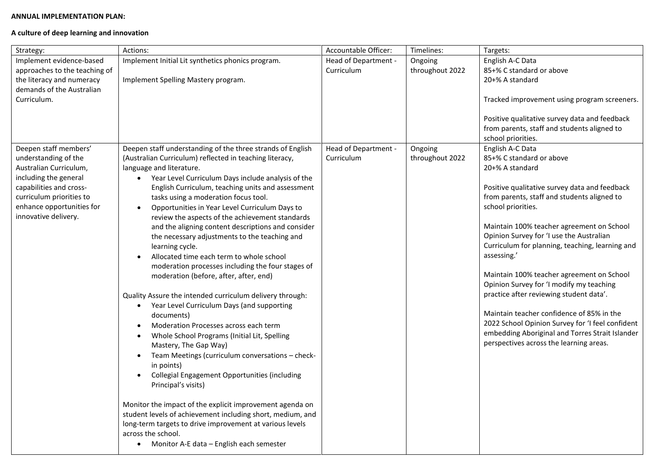### **ANNUAL IMPLEMENTATION PLAN:**

# **A culture of deep learning and innovation**

| Strategy:                                                                                                                                                                                                    | Actions:                                                                                                                                                                                                                                                                                                                                                                                                                                                                                                                                                                                                                                                                                                                                                                                                                                                                                                                                                                                                                                                                                                                                                                                                                                                                                                                                                                                        | Accountable Officer:               | Timelines:                 | Targets:                                                                                                                                                                                                                                                                                                                                                                                                                                                                                                                                                                                                                                                                            |
|--------------------------------------------------------------------------------------------------------------------------------------------------------------------------------------------------------------|-------------------------------------------------------------------------------------------------------------------------------------------------------------------------------------------------------------------------------------------------------------------------------------------------------------------------------------------------------------------------------------------------------------------------------------------------------------------------------------------------------------------------------------------------------------------------------------------------------------------------------------------------------------------------------------------------------------------------------------------------------------------------------------------------------------------------------------------------------------------------------------------------------------------------------------------------------------------------------------------------------------------------------------------------------------------------------------------------------------------------------------------------------------------------------------------------------------------------------------------------------------------------------------------------------------------------------------------------------------------------------------------------|------------------------------------|----------------------------|-------------------------------------------------------------------------------------------------------------------------------------------------------------------------------------------------------------------------------------------------------------------------------------------------------------------------------------------------------------------------------------------------------------------------------------------------------------------------------------------------------------------------------------------------------------------------------------------------------------------------------------------------------------------------------------|
| Implement evidence-based<br>approaches to the teaching of<br>the literacy and numeracy<br>demands of the Australian<br>Curriculum.                                                                           | Implement Initial Lit synthetics phonics program.<br>Implement Spelling Mastery program.                                                                                                                                                                                                                                                                                                                                                                                                                                                                                                                                                                                                                                                                                                                                                                                                                                                                                                                                                                                                                                                                                                                                                                                                                                                                                                        | Head of Department -<br>Curriculum | Ongoing<br>throughout 2022 | English A-C Data<br>85+% C standard or above<br>20+% A standard<br>Tracked improvement using program screeners.<br>Positive qualitative survey data and feedback<br>from parents, staff and students aligned to<br>school priorities.                                                                                                                                                                                                                                                                                                                                                                                                                                               |
| Deepen staff members'<br>understanding of the<br>Australian Curriculum,<br>including the general<br>capabilities and cross-<br>curriculum priorities to<br>enhance opportunities for<br>innovative delivery. | Deepen staff understanding of the three strands of English<br>(Australian Curriculum) reflected in teaching literacy,<br>language and literature.<br>• Year Level Curriculum Days include analysis of the<br>English Curriculum, teaching units and assessment<br>tasks using a moderation focus tool.<br>Opportunities in Year Level Curriculum Days to<br>$\bullet$<br>review the aspects of the achievement standards<br>and the aligning content descriptions and consider<br>the necessary adjustments to the teaching and<br>learning cycle.<br>Allocated time each term to whole school<br>$\bullet$<br>moderation processes including the four stages of<br>moderation (before, after, after, end)<br>Quality Assure the intended curriculum delivery through:<br>Year Level Curriculum Days (and supporting<br>$\bullet$<br>documents)<br>Moderation Processes across each term<br>$\bullet$<br>Whole School Programs (Initial Lit, Spelling<br>Mastery, The Gap Way)<br>Team Meetings (curriculum conversations - check-<br>$\bullet$<br>in points)<br>Collegial Engagement Opportunities (including<br>Principal's visits)<br>Monitor the impact of the explicit improvement agenda on<br>student levels of achievement including short, medium, and<br>long-term targets to drive improvement at various levels<br>across the school.<br>• Monitor A-E data - English each semester | Head of Department -<br>Curriculum | Ongoing<br>throughout 2022 | English A-C Data<br>85+% C standard or above<br>20+% A standard<br>Positive qualitative survey data and feedback<br>from parents, staff and students aligned to<br>school priorities.<br>Maintain 100% teacher agreement on School<br>Opinion Survey for 'I use the Australian<br>Curriculum for planning, teaching, learning and<br>assessing.'<br>Maintain 100% teacher agreement on School<br>Opinion Survey for 'I modify my teaching<br>practice after reviewing student data'.<br>Maintain teacher confidence of 85% in the<br>2022 School Opinion Survey for 'I feel confident<br>embedding Aboriginal and Torres Strait Islander<br>perspectives across the learning areas. |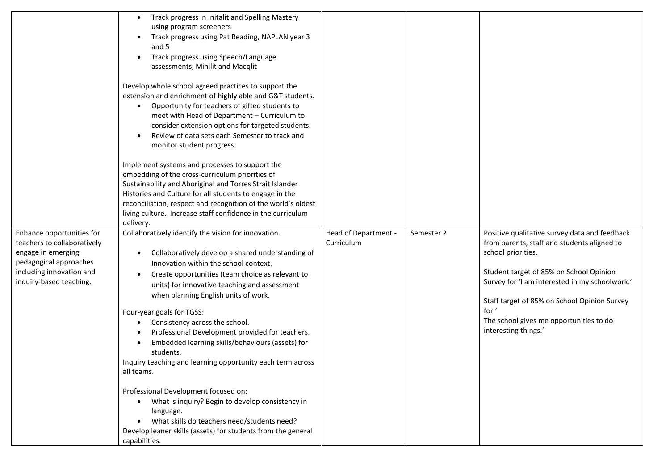|                                                                                                                                                                 | Track progress in Initalit and Spelling Mastery<br>using program screeners<br>Track progress using Pat Reading, NAPLAN year 3<br>$\bullet$<br>and 5<br>Track progress using Speech/Language<br>$\bullet$<br>assessments, Minilit and Macqlit<br>Develop whole school agreed practices to support the<br>extension and enrichment of highly able and G&T students.<br>Opportunity for teachers of gifted students to<br>$\bullet$<br>meet with Head of Department - Curriculum to<br>consider extension options for targeted students.<br>Review of data sets each Semester to track and<br>$\bullet$<br>monitor student progress.<br>Implement systems and processes to support the<br>embedding of the cross-curriculum priorities of<br>Sustainability and Aboriginal and Torres Strait Islander<br>Histories and Culture for all students to engage in the<br>reconciliation, respect and recognition of the world's oldest<br>living culture. Increase staff confidence in the curriculum<br>delivery. |                                    |            |                                                                                                                                                                                                                                                                                                                                             |
|-----------------------------------------------------------------------------------------------------------------------------------------------------------------|------------------------------------------------------------------------------------------------------------------------------------------------------------------------------------------------------------------------------------------------------------------------------------------------------------------------------------------------------------------------------------------------------------------------------------------------------------------------------------------------------------------------------------------------------------------------------------------------------------------------------------------------------------------------------------------------------------------------------------------------------------------------------------------------------------------------------------------------------------------------------------------------------------------------------------------------------------------------------------------------------------|------------------------------------|------------|---------------------------------------------------------------------------------------------------------------------------------------------------------------------------------------------------------------------------------------------------------------------------------------------------------------------------------------------|
| Enhance opportunities for<br>teachers to collaboratively<br>engage in emerging<br>pedagogical approaches<br>including innovation and<br>inquiry-based teaching. | Collaboratively identify the vision for innovation.<br>Collaboratively develop a shared understanding of<br>$\bullet$<br>Innovation within the school context.<br>Create opportunities (team choice as relevant to<br>$\bullet$<br>units) for innovative teaching and assessment<br>when planning English units of work.<br>Four-year goals for TGSS:<br>Consistency across the school.<br>Professional Development provided for teachers.<br>Embedded learning skills/behaviours (assets) for<br>students.<br>Inquiry teaching and learning opportunity each term across<br>all teams.<br>Professional Development focused on:<br>What is inquiry? Begin to develop consistency in<br>$\bullet$<br>language.<br>What skills do teachers need/students need?<br>Develop leaner skills (assets) for students from the general<br>capabilities.                                                                                                                                                              | Head of Department -<br>Curriculum | Semester 2 | Positive qualitative survey data and feedback<br>from parents, staff and students aligned to<br>school priorities.<br>Student target of 85% on School Opinion<br>Survey for 'I am interested in my schoolwork.'<br>Staff target of 85% on School Opinion Survey<br>for '<br>The school gives me opportunities to do<br>interesting things.' |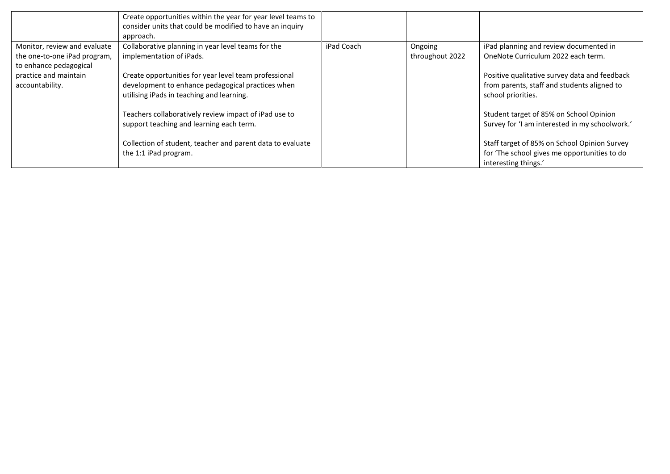|                              | Create opportunities within the year for year level teams to<br>consider units that could be modified to have an inquiry<br>approach. |            |                 |                                                                                           |
|------------------------------|---------------------------------------------------------------------------------------------------------------------------------------|------------|-----------------|-------------------------------------------------------------------------------------------|
| Monitor, review and evaluate | Collaborative planning in year level teams for the                                                                                    | iPad Coach | Ongoing         | iPad planning and review documented in                                                    |
| the one-to-one iPad program, | implementation of iPads.                                                                                                              |            | throughout 2022 | OneNote Curriculum 2022 each term.                                                        |
| to enhance pedagogical       |                                                                                                                                       |            |                 |                                                                                           |
| practice and maintain        | Create opportunities for year level team professional                                                                                 |            |                 | Positive qualitative survey data and feedback                                             |
| accountability.              | development to enhance pedagogical practices when                                                                                     |            |                 | from parents, staff and students aligned to                                               |
|                              | utilising iPads in teaching and learning.                                                                                             |            |                 | school priorities.                                                                        |
|                              | Teachers collaboratively review impact of iPad use to<br>support teaching and learning each term.                                     |            |                 | Student target of 85% on School Opinion<br>Survey for 'I am interested in my schoolwork.' |
|                              | Collection of student, teacher and parent data to evaluate                                                                            |            |                 | Staff target of 85% on School Opinion Survey                                              |
|                              | the 1:1 iPad program.                                                                                                                 |            |                 | for 'The school gives me opportunities to do                                              |
|                              |                                                                                                                                       |            |                 | interesting things.'                                                                      |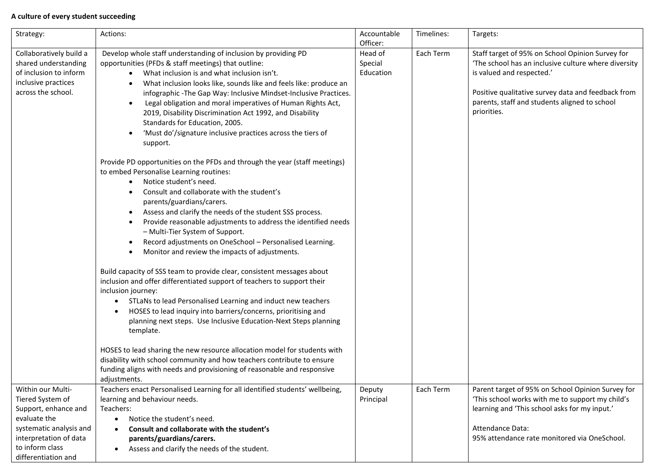# **A culture of every student succeeding**

| Strategy:                                                                                                                                                                    | Actions:                                                                                                                                                                                                                                                                                                                                                                                                                                                                                                                                                                                                                                                                                                                                                                          | Accountable<br>Officer:         | Timelines: | Targets:                                                                                                                                                                                                                                                    |
|------------------------------------------------------------------------------------------------------------------------------------------------------------------------------|-----------------------------------------------------------------------------------------------------------------------------------------------------------------------------------------------------------------------------------------------------------------------------------------------------------------------------------------------------------------------------------------------------------------------------------------------------------------------------------------------------------------------------------------------------------------------------------------------------------------------------------------------------------------------------------------------------------------------------------------------------------------------------------|---------------------------------|------------|-------------------------------------------------------------------------------------------------------------------------------------------------------------------------------------------------------------------------------------------------------------|
| Collaboratively build a<br>shared understanding<br>of inclusion to inform<br>inclusive practices<br>across the school.                                                       | Develop whole staff understanding of inclusion by providing PD<br>opportunities (PFDs & staff meetings) that outline:<br>What inclusion is and what inclusion isn't.<br>$\bullet$<br>What inclusion looks like, sounds like and feels like: produce an<br>infographic - The Gap Way: Inclusive Mindset-Inclusive Practices.<br>Legal obligation and moral imperatives of Human Rights Act,<br>2019, Disability Discrimination Act 1992, and Disability<br>Standards for Education, 2005.<br>'Must do'/signature inclusive practices across the tiers of<br>support.<br>Provide PD opportunities on the PFDs and through the year (staff meetings)<br>to embed Personalise Learning routines:<br>Notice student's need.<br>$\bullet$<br>Consult and collaborate with the student's | Head of<br>Special<br>Education | Each Term  | Staff target of 95% on School Opinion Survey for<br>'The school has an inclusive culture where diversity<br>is valued and respected.'<br>Positive qualitative survey data and feedback from<br>parents, staff and students aligned to school<br>priorities. |
|                                                                                                                                                                              | parents/guardians/carers.<br>Assess and clarify the needs of the student SSS process.<br>Provide reasonable adjustments to address the identified needs<br>- Multi-Tier System of Support.<br>Record adjustments on OneSchool - Personalised Learning.<br>Monitor and review the impacts of adjustments.<br>Build capacity of SSS team to provide clear, consistent messages about<br>inclusion and offer differentiated support of teachers to support their<br>inclusion journey:<br>STLaNs to lead Personalised Learning and induct new teachers<br>$\bullet$<br>HOSES to lead inquiry into barriers/concerns, prioritising and<br>٠<br>planning next steps. Use Inclusive Education-Next Steps planning<br>template.                                                          |                                 |            |                                                                                                                                                                                                                                                             |
|                                                                                                                                                                              | HOSES to lead sharing the new resource allocation model for students with<br>disability with school community and how teachers contribute to ensure<br>funding aligns with needs and provisioning of reasonable and responsive<br>adjustments.                                                                                                                                                                                                                                                                                                                                                                                                                                                                                                                                    |                                 |            |                                                                                                                                                                                                                                                             |
| Within our Multi-<br>Tiered System of<br>Support, enhance and<br>evaluate the<br>systematic analysis and<br>interpretation of data<br>to inform class<br>differentiation and | Teachers enact Personalised Learning for all identified students' wellbeing,<br>learning and behaviour needs.<br>Teachers:<br>Notice the student's need.<br>$\bullet$<br>Consult and collaborate with the student's<br>٠<br>parents/guardians/carers.<br>Assess and clarify the needs of the student.<br>$\bullet$                                                                                                                                                                                                                                                                                                                                                                                                                                                                | Deputy<br>Principal             | Each Term  | Parent target of 95% on School Opinion Survey for<br>'This school works with me to support my child's<br>learning and 'This school asks for my input.'<br>Attendance Data:<br>95% attendance rate monitored via OneSchool.                                  |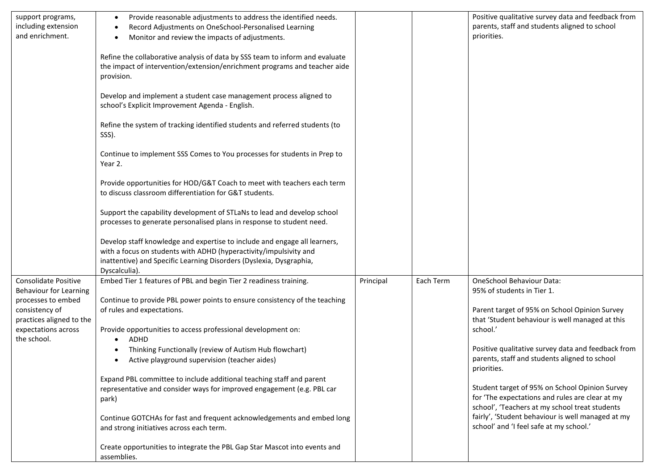| support programs,<br>including extension<br>and enrichment.                                                                                                     | Provide reasonable adjustments to address the identified needs.<br>$\bullet$<br>Record Adjustments on OneSchool-Personalised Learning<br>Monitor and review the impacts of adjustments.<br>Refine the collaborative analysis of data by SSS team to inform and evaluate<br>the impact of intervention/extension/enrichment programs and teacher aide<br>provision.<br>Develop and implement a student case management process aligned to<br>school's Explicit Improvement Agenda - English.<br>Refine the system of tracking identified students and referred students (to<br>SSS).<br>Continue to implement SSS Comes to You processes for students in Prep to<br>Year 2.<br>Provide opportunities for HOD/G&T Coach to meet with teachers each term<br>to discuss classroom differentiation for G&T students.<br>Support the capability development of STLaNs to lead and develop school<br>processes to generate personalised plans in response to student need.<br>Develop staff knowledge and expertise to include and engage all learners,<br>with a focus on students with ADHD (hyperactivity/impulsivity and |           |           | Positive qualitative survey data and feedback from<br>parents, staff and students aligned to school<br>priorities.                                                                                                                                                                                                                                                                                                                                                                                                                                   |
|-----------------------------------------------------------------------------------------------------------------------------------------------------------------|-----------------------------------------------------------------------------------------------------------------------------------------------------------------------------------------------------------------------------------------------------------------------------------------------------------------------------------------------------------------------------------------------------------------------------------------------------------------------------------------------------------------------------------------------------------------------------------------------------------------------------------------------------------------------------------------------------------------------------------------------------------------------------------------------------------------------------------------------------------------------------------------------------------------------------------------------------------------------------------------------------------------------------------------------------------------------------------------------------------------------|-----------|-----------|------------------------------------------------------------------------------------------------------------------------------------------------------------------------------------------------------------------------------------------------------------------------------------------------------------------------------------------------------------------------------------------------------------------------------------------------------------------------------------------------------------------------------------------------------|
|                                                                                                                                                                 | inattentive) and Specific Learning Disorders (Dyslexia, Dysgraphia,<br>Dyscalculia).                                                                                                                                                                                                                                                                                                                                                                                                                                                                                                                                                                                                                                                                                                                                                                                                                                                                                                                                                                                                                                  |           |           |                                                                                                                                                                                                                                                                                                                                                                                                                                                                                                                                                      |
| Consolidate Positive<br><b>Behaviour for Learning</b><br>processes to embed<br>consistency of<br>practices aligned to the<br>expectations across<br>the school. | Embed Tier 1 features of PBL and begin Tier 2 readiness training.<br>Continue to provide PBL power points to ensure consistency of the teaching<br>of rules and expectations.<br>Provide opportunities to access professional development on:<br>ADHD<br>Thinking Functionally (review of Autism Hub flowchart)<br>Active playground supervision (teacher aides)<br>$\bullet$<br>Expand PBL committee to include additional teaching staff and parent<br>representative and consider ways for improved engagement (e.g. PBL car<br>park)<br>Continue GOTCHAs for fast and frequent acknowledgements and embed long<br>and strong initiatives across each term.<br>Create opportunities to integrate the PBL Gap Star Mascot into events and<br>assemblies.                                                                                                                                                                                                                                                                                                                                                            | Principal | Each Term | OneSchool Behaviour Data:<br>95% of students in Tier 1.<br>Parent target of 95% on School Opinion Survey<br>that 'Student behaviour is well managed at this<br>school.'<br>Positive qualitative survey data and feedback from<br>parents, staff and students aligned to school<br>priorities.<br>Student target of 95% on School Opinion Survey<br>for 'The expectations and rules are clear at my<br>school', 'Teachers at my school treat students<br>fairly', 'Student behaviour is well managed at my<br>school' and 'I feel safe at my school.' |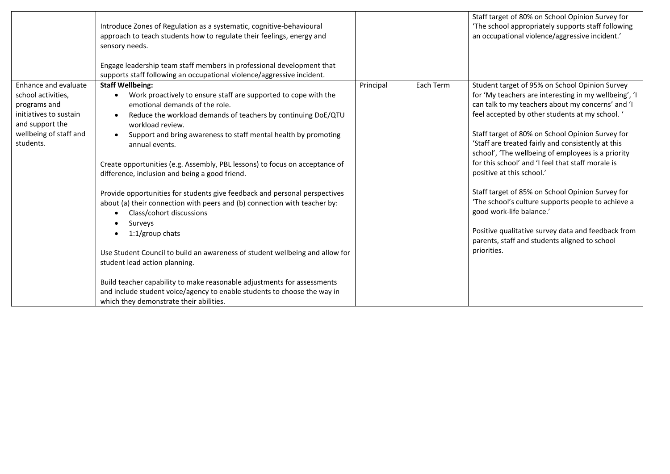|                                                                                                                                                | Introduce Zones of Regulation as a systematic, cognitive-behavioural<br>approach to teach students how to regulate their feelings, energy and<br>sensory needs.<br>Engage leadership team staff members in professional development that<br>supports staff following an occupational violence/aggressive incident.                                                                                                                                                                                                                                                                                                                                                                                                                                                                                                                                                                                                                                                                                    |           |           | Staff target of 80% on School Opinion Survey for<br>'The school appropriately supports staff following<br>an occupational violence/aggressive incident.'                                                                                                                                                                                                                                                                                                                                                                                                                                                                                                                                                                      |
|------------------------------------------------------------------------------------------------------------------------------------------------|-------------------------------------------------------------------------------------------------------------------------------------------------------------------------------------------------------------------------------------------------------------------------------------------------------------------------------------------------------------------------------------------------------------------------------------------------------------------------------------------------------------------------------------------------------------------------------------------------------------------------------------------------------------------------------------------------------------------------------------------------------------------------------------------------------------------------------------------------------------------------------------------------------------------------------------------------------------------------------------------------------|-----------|-----------|-------------------------------------------------------------------------------------------------------------------------------------------------------------------------------------------------------------------------------------------------------------------------------------------------------------------------------------------------------------------------------------------------------------------------------------------------------------------------------------------------------------------------------------------------------------------------------------------------------------------------------------------------------------------------------------------------------------------------------|
| Enhance and evaluate<br>school activities.<br>programs and<br>initiatives to sustain<br>and support the<br>wellbeing of staff and<br>students. | <b>Staff Wellbeing:</b><br>Work proactively to ensure staff are supported to cope with the<br>emotional demands of the role.<br>Reduce the workload demands of teachers by continuing DoE/QTU<br>workload review.<br>Support and bring awareness to staff mental health by promoting<br>$\bullet$<br>annual events.<br>Create opportunities (e.g. Assembly, PBL lessons) to focus on acceptance of<br>difference, inclusion and being a good friend.<br>Provide opportunities for students give feedback and personal perspectives<br>about (a) their connection with peers and (b) connection with teacher by:<br>Class/cohort discussions<br>Surveys<br>$1:1/\text{group}$ chats<br>Use Student Council to build an awareness of student wellbeing and allow for<br>student lead action planning.<br>Build teacher capability to make reasonable adjustments for assessments<br>and include student voice/agency to enable students to choose the way in<br>which they demonstrate their abilities. | Principal | Each Term | Student target of 95% on School Opinion Survey<br>for 'My teachers are interesting in my wellbeing', 'I<br>can talk to my teachers about my concerns' and 'I<br>feel accepted by other students at my school. '<br>Staff target of 80% on School Opinion Survey for<br>'Staff are treated fairly and consistently at this<br>school', 'The wellbeing of employees is a priority<br>for this school' and 'I feel that staff morale is<br>positive at this school.'<br>Staff target of 85% on School Opinion Survey for<br>'The school's culture supports people to achieve a<br>good work-life balance.'<br>Positive qualitative survey data and feedback from<br>parents, staff and students aligned to school<br>priorities. |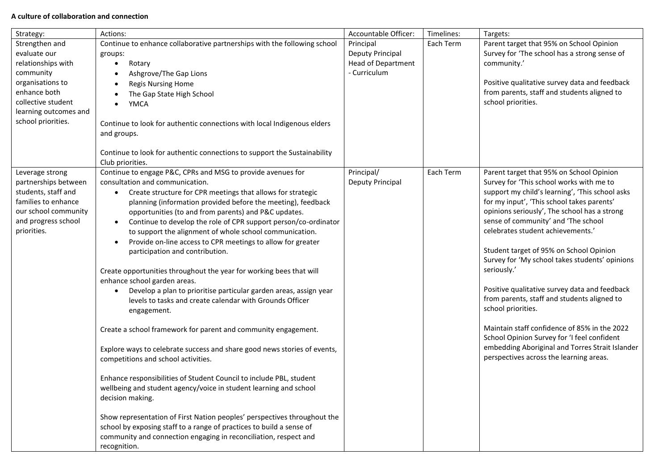## **A culture of collaboration and connection**

| Strategy:                                   | Actions:                                                                                                                                 | Accountable Officer:      | Timelines: | Targets:                                                                            |
|---------------------------------------------|------------------------------------------------------------------------------------------------------------------------------------------|---------------------------|------------|-------------------------------------------------------------------------------------|
| Strengthen and                              | Continue to enhance collaborative partnerships with the following school                                                                 | Principal                 | Each Term  | Parent target that 95% on School Opinion                                            |
| evaluate our                                | groups:                                                                                                                                  | Deputy Principal          |            | Survey for 'The school has a strong sense of                                        |
| relationships with                          | Rotary<br>$\bullet$                                                                                                                      | <b>Head of Department</b> |            | community.'                                                                         |
| community                                   | Ashgrove/The Gap Lions<br>$\bullet$                                                                                                      | - Curriculum              |            |                                                                                     |
| organisations to                            | <b>Regis Nursing Home</b>                                                                                                                |                           |            | Positive qualitative survey data and feedback                                       |
| enhance both                                | The Gap State High School                                                                                                                |                           |            | from parents, staff and students aligned to                                         |
| collective student                          | YMCA                                                                                                                                     |                           |            | school priorities.                                                                  |
| learning outcomes and                       |                                                                                                                                          |                           |            |                                                                                     |
| school priorities.                          | Continue to look for authentic connections with local Indigenous elders<br>and groups.                                                   |                           |            |                                                                                     |
|                                             |                                                                                                                                          |                           |            |                                                                                     |
|                                             | Continue to look for authentic connections to support the Sustainability<br>Club priorities.                                             |                           |            |                                                                                     |
| Leverage strong                             | Continue to engage P&C, CPRs and MSG to provide avenues for                                                                              | Principal/                | Each Term  | Parent target that 95% on School Opinion                                            |
| partnerships between                        | consultation and communication.                                                                                                          | Deputy Principal          |            | Survey for 'This school works with me to                                            |
| students, staff and                         | Create structure for CPR meetings that allows for strategic<br>$\bullet$                                                                 |                           |            | support my child's learning', 'This school asks                                     |
| families to enhance                         | planning (information provided before the meeting), feedback                                                                             |                           |            | for my input', 'This school takes parents'                                          |
| our school community<br>and progress school | opportunities (to and from parents) and P&C updates.                                                                                     |                           |            | opinions seriously', The school has a strong<br>sense of community' and 'The school |
| priorities.                                 | Continue to develop the role of CPR support person/co-ordinator<br>$\bullet$                                                             |                           |            | celebrates student achievements.'                                                   |
|                                             | to support the alignment of whole school communication.<br>Provide on-line access to CPR meetings to allow for greater                   |                           |            |                                                                                     |
|                                             | $\bullet$<br>participation and contribution.                                                                                             |                           |            | Student target of 95% on School Opinion                                             |
|                                             |                                                                                                                                          |                           |            | Survey for 'My school takes students' opinions                                      |
|                                             | Create opportunities throughout the year for working bees that will                                                                      |                           |            | seriously.'                                                                         |
|                                             | enhance school garden areas.                                                                                                             |                           |            |                                                                                     |
|                                             | Develop a plan to prioritise particular garden areas, assign year<br>$\bullet$                                                           |                           |            | Positive qualitative survey data and feedback                                       |
|                                             | levels to tasks and create calendar with Grounds Officer                                                                                 |                           |            | from parents, staff and students aligned to                                         |
|                                             | engagement.                                                                                                                              |                           |            | school priorities.                                                                  |
|                                             |                                                                                                                                          |                           |            |                                                                                     |
|                                             | Create a school framework for parent and community engagement.                                                                           |                           |            | Maintain staff confidence of 85% in the 2022                                        |
|                                             |                                                                                                                                          |                           |            | School Opinion Survey for 'I feel confident                                         |
|                                             | Explore ways to celebrate success and share good news stories of events,                                                                 |                           |            | embedding Aboriginal and Torres Strait Islander                                     |
|                                             | competitions and school activities.                                                                                                      |                           |            | perspectives across the learning areas.                                             |
|                                             |                                                                                                                                          |                           |            |                                                                                     |
|                                             | Enhance responsibilities of Student Council to include PBL, student<br>wellbeing and student agency/voice in student learning and school |                           |            |                                                                                     |
|                                             | decision making.                                                                                                                         |                           |            |                                                                                     |
|                                             |                                                                                                                                          |                           |            |                                                                                     |
|                                             | Show representation of First Nation peoples' perspectives throughout the                                                                 |                           |            |                                                                                     |
|                                             | school by exposing staff to a range of practices to build a sense of                                                                     |                           |            |                                                                                     |
|                                             | community and connection engaging in reconciliation, respect and                                                                         |                           |            |                                                                                     |
|                                             | recognition.                                                                                                                             |                           |            |                                                                                     |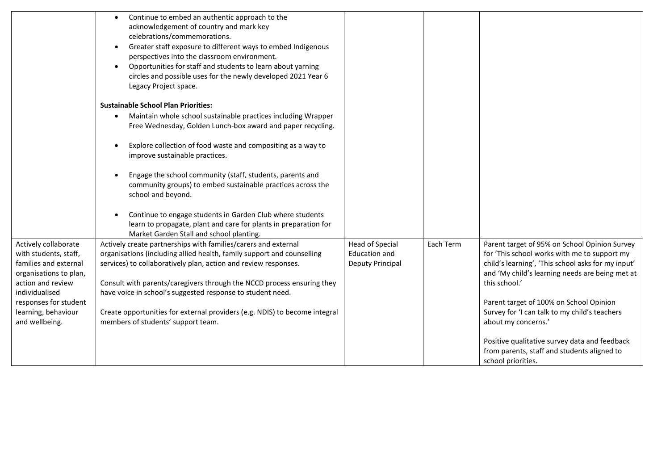|                                                                                                                                         | Continue to embed an authentic approach to the<br>$\bullet$<br>acknowledgement of country and mark key<br>celebrations/commemorations.<br>Greater staff exposure to different ways to embed Indigenous<br>$\bullet$<br>perspectives into the classroom environment.<br>Opportunities for staff and students to learn about yarning<br>circles and possible uses for the newly developed 2021 Year 6<br>Legacy Project space. |                                                             |           |                                                                                                                                                                                                                         |
|-----------------------------------------------------------------------------------------------------------------------------------------|------------------------------------------------------------------------------------------------------------------------------------------------------------------------------------------------------------------------------------------------------------------------------------------------------------------------------------------------------------------------------------------------------------------------------|-------------------------------------------------------------|-----------|-------------------------------------------------------------------------------------------------------------------------------------------------------------------------------------------------------------------------|
|                                                                                                                                         | <b>Sustainable School Plan Priorities:</b>                                                                                                                                                                                                                                                                                                                                                                                   |                                                             |           |                                                                                                                                                                                                                         |
|                                                                                                                                         | Maintain whole school sustainable practices including Wrapper<br>$\bullet$<br>Free Wednesday, Golden Lunch-box award and paper recycling.                                                                                                                                                                                                                                                                                    |                                                             |           |                                                                                                                                                                                                                         |
|                                                                                                                                         | Explore collection of food waste and compositing as a way to<br>improve sustainable practices.                                                                                                                                                                                                                                                                                                                               |                                                             |           |                                                                                                                                                                                                                         |
|                                                                                                                                         | Engage the school community (staff, students, parents and<br>community groups) to embed sustainable practices across the<br>school and beyond.                                                                                                                                                                                                                                                                               |                                                             |           |                                                                                                                                                                                                                         |
|                                                                                                                                         | Continue to engage students in Garden Club where students<br>learn to propagate, plant and care for plants in preparation for<br>Market Garden Stall and school planting.                                                                                                                                                                                                                                                    |                                                             |           |                                                                                                                                                                                                                         |
| Actively collaborate<br>with students, staff,<br>families and external<br>organisations to plan,<br>action and review<br>individualised | Actively create partnerships with families/carers and external<br>organisations (including allied health, family support and counselling<br>services) to collaboratively plan, action and review responses.<br>Consult with parents/caregivers through the NCCD process ensuring they<br>have voice in school's suggested response to student need.                                                                          | <b>Head of Special</b><br>Education and<br>Deputy Principal | Each Term | Parent target of 95% on School Opinion Survey<br>for 'This school works with me to support my<br>child's learning', 'This school asks for my input'<br>and 'My child's learning needs are being met at<br>this school.' |
| responses for student<br>learning, behaviour<br>and wellbeing.                                                                          | Create opportunities for external providers (e.g. NDIS) to become integral<br>members of students' support team.                                                                                                                                                                                                                                                                                                             |                                                             |           | Parent target of 100% on School Opinion<br>Survey for 'I can talk to my child's teachers<br>about my concerns.'                                                                                                         |
|                                                                                                                                         |                                                                                                                                                                                                                                                                                                                                                                                                                              |                                                             |           | Positive qualitative survey data and feedback<br>from parents, staff and students aligned to<br>school priorities.                                                                                                      |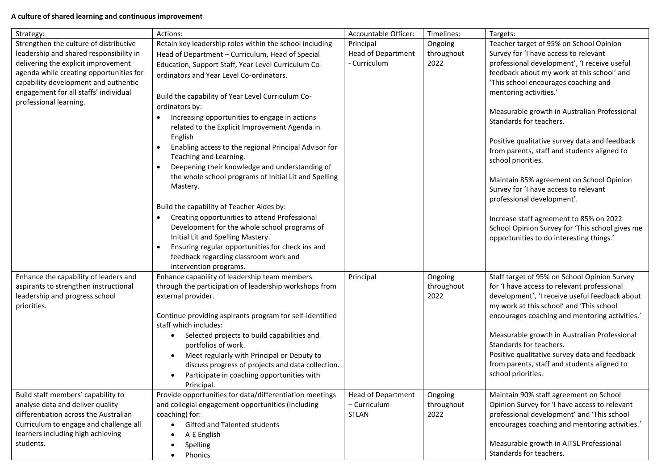# **A culture of shared learning and continuous improvement**

| Strategy:                               | Actions:                                                    | Accountable Officer:      | Timelines: | Targets:                                                            |
|-----------------------------------------|-------------------------------------------------------------|---------------------------|------------|---------------------------------------------------------------------|
| Strengthen the culture of distributive  | Retain key leadership roles within the school including     | Principal                 | Ongoing    | Teacher target of 95% on School Opinion                             |
| leadership and shared responsibility in | Head of Department - Curriculum, Head of Special            | <b>Head of Department</b> | throughout | Survey for 'I have access to relevant                               |
| delivering the explicit improvement     | Education, Support Staff, Year Level Curriculum Co-         | - Curriculum              | 2022       | professional development', 'I receive useful                        |
| agenda while creating opportunities for | ordinators and Year Level Co-ordinators.                    |                           |            | feedback about my work at this school' and                          |
| capability development and authentic    |                                                             |                           |            | 'This school encourages coaching and                                |
| engagement for all staffs' individual   | Build the capability of Year Level Curriculum Co-           |                           |            | mentoring activities.'                                              |
| professional learning.                  | ordinators by:                                              |                           |            |                                                                     |
|                                         | Increasing opportunities to engage in actions               |                           |            | Measurable growth in Australian Professional                        |
|                                         | related to the Explicit Improvement Agenda in               |                           |            | Standards for teachers.                                             |
|                                         | English                                                     |                           |            |                                                                     |
|                                         | Enabling access to the regional Principal Advisor for       |                           |            | Positive qualitative survey data and feedback                       |
|                                         | Teaching and Learning.                                      |                           |            | from parents, staff and students aligned to                         |
|                                         | Deepening their knowledge and understanding of<br>$\bullet$ |                           |            | school priorities.                                                  |
|                                         | the whole school programs of Initial Lit and Spelling       |                           |            |                                                                     |
|                                         | Mastery.                                                    |                           |            | Maintain 85% agreement on School Opinion                            |
|                                         |                                                             |                           |            | Survey for 'I have access to relevant<br>professional development'. |
|                                         | Build the capability of Teacher Aides by:                   |                           |            |                                                                     |
|                                         | Creating opportunities to attend Professional               |                           |            | Increase staff agreement to 85% on 2022                             |
|                                         | Development for the whole school programs of                |                           |            | School Opinion Survey for 'This school gives me                     |
|                                         | Initial Lit and Spelling Mastery.                           |                           |            | opportunities to do interesting things.'                            |
|                                         | Ensuring regular opportunities for check ins and            |                           |            |                                                                     |
|                                         | feedback regarding classroom work and                       |                           |            |                                                                     |
|                                         | intervention programs.                                      |                           |            |                                                                     |
| Enhance the capability of leaders and   | Enhance capability of leadership team members               | Principal                 | Ongoing    | Staff target of 95% on School Opinion Survey                        |
| aspirants to strengthen instructional   | through the participation of leadership workshops from      |                           | throughout | for 'I have access to relevant professional                         |
| leadership and progress school          | external provider.                                          |                           | 2022       | development', 'I receive useful feedback about                      |
| priorities.                             |                                                             |                           |            | my work at this school' and 'This school                            |
|                                         | Continue providing aspirants program for self-identified    |                           |            | encourages coaching and mentoring activities.'                      |
|                                         | staff which includes:                                       |                           |            |                                                                     |
|                                         | Selected projects to build capabilities and                 |                           |            | Measurable growth in Australian Professional                        |
|                                         | portfolios of work.                                         |                           |            | Standards for teachers.                                             |
|                                         | Meet regularly with Principal or Deputy to<br>$\bullet$     |                           |            | Positive qualitative survey data and feedback                       |
|                                         | discuss progress of projects and data collection.           |                           |            | from parents, staff and students aligned to                         |
|                                         | Participate in coaching opportunities with                  |                           |            | school priorities.                                                  |
|                                         | Principal.                                                  |                           |            |                                                                     |
| Build staff members' capability to      | Provide opportunities for data/differentiation meetings     | <b>Head of Department</b> | Ongoing    | Maintain 90% staff agreement on School                              |
| analyse data and deliver quality        | and collegial engagement opportunities (including           | - Curriculum              | throughout | Opinion Survey for 'I have access to relevant                       |
| differentiation across the Australian   | coaching) for:                                              | <b>STLAN</b>              | 2022       | professional development' and 'This school                          |
| Curriculum to engage and challenge all  | Gifted and Talented students<br>$\bullet$                   |                           |            | encourages coaching and mentoring activities.'                      |
| learners including high achieving       | A-E English                                                 |                           |            |                                                                     |
| students.                               | Spelling<br>$\bullet$                                       |                           |            | Measurable growth in AITSL Professional<br>Standards for teachers.  |
|                                         | Phonics<br>$\bullet$                                        |                           |            |                                                                     |